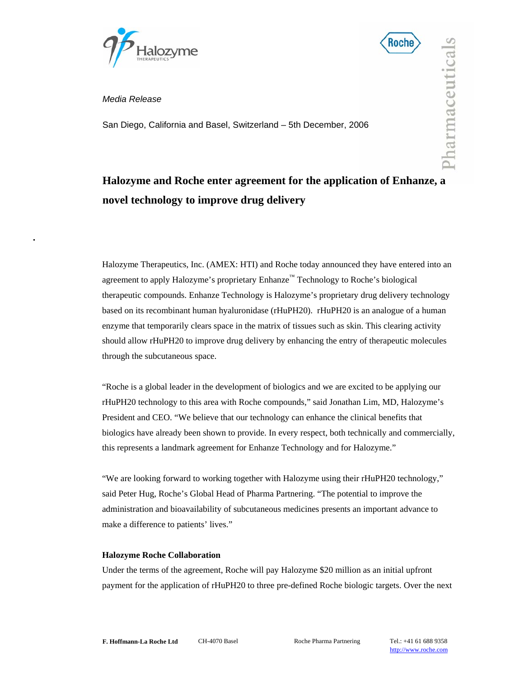



Pharmaceuticals

*Media Release* 

San Diego, California and Basel, Switzerland – 5th December, 2006

# **Halozyme and Roche enter agreement for the application of Enhanze, a novel technology to improve drug delivery**

Halozyme Therapeutics, Inc. (AMEX: HTI) and Roche today announced they have entered into an agreement to apply Halozyme's proprietary Enhanze™ Technology to Roche's biological therapeutic compounds. Enhanze Technology is Halozyme's proprietary drug delivery technology based on its recombinant human hyaluronidase (rHuPH20). rHuPH20 is an analogue of a human enzyme that temporarily clears space in the matrix of tissues such as skin. This clearing activity should allow rHuPH20 to improve drug delivery by enhancing the entry of therapeutic molecules through the subcutaneous space.

"Roche is a global leader in the development of biologics and we are excited to be applying our rHuPH20 technology to this area with Roche compounds," said Jonathan Lim, MD, Halozyme's President and CEO. "We believe that our technology can enhance the clinical benefits that biologics have already been shown to provide. In every respect, both technically and commercially, this represents a landmark agreement for Enhanze Technology and for Halozyme."

"We are looking forward to working together with Halozyme using their rHuPH20 technology," said Peter Hug, Roche's Global Head of Pharma Partnering. "The potential to improve the administration and bioavailability of subcutaneous medicines presents an important advance to make a difference to patients' lives."

## **Halozyme Roche Collaboration**

Under the terms of the agreement, Roche will pay Halozyme \$20 million as an initial upfront payment for the application of rHuPH20 to three pre-defined Roche biologic targets. Over the next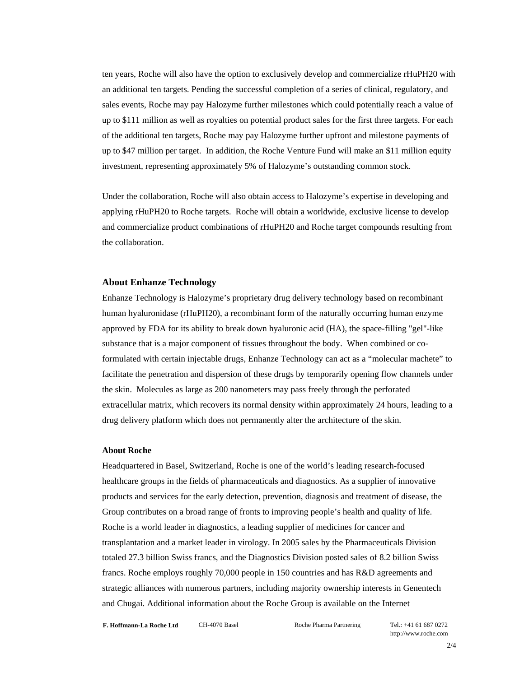ten years, Roche will also have the option to exclusively develop and commercialize rHuPH20 with an additional ten targets. Pending the successful completion of a series of clinical, regulatory, and sales events, Roche may pay Halozyme further milestones which could potentially reach a value of up to \$111 million as well as royalties on potential product sales for the first three targets. For each of the additional ten targets, Roche may pay Halozyme further upfront and milestone payments of up to \$47 million per target. In addition, the Roche Venture Fund will make an \$11 million equity investment, representing approximately 5% of Halozyme's outstanding common stock.

Under the collaboration, Roche will also obtain access to Halozyme's expertise in developing and applying rHuPH20 to Roche targets. Roche will obtain a worldwide, exclusive license to develop and commercialize product combinations of rHuPH20 and Roche target compounds resulting from the collaboration.

## **About Enhanze Technology**

Enhanze Technology is Halozyme's proprietary drug delivery technology based on recombinant human hyaluronidase (rHuPH20), a recombinant form of the naturally occurring human enzyme approved by FDA for its ability to break down hyaluronic acid (HA), the space-filling "gel"-like substance that is a major component of tissues throughout the body. When combined or coformulated with certain injectable drugs, Enhanze Technology can act as a "molecular machete" to facilitate the penetration and dispersion of these drugs by temporarily opening flow channels under the skin. Molecules as large as 200 nanometers may pass freely through the perforated extracellular matrix, which recovers its normal density within approximately 24 hours, leading to a drug delivery platform which does not permanently alter the architecture of the skin.

## **About Roche**

Headquartered in Basel, Switzerland, Roche is one of the world's leading research-focused healthcare groups in the fields of pharmaceuticals and diagnostics. As a supplier of innovative products and services for the early detection, prevention, diagnosis and treatment of disease, the Group contributes on a broad range of fronts to improving people's health and quality of life. Roche is a world leader in diagnostics, a leading supplier of medicines for cancer and transplantation and a market leader in virology. In 2005 sales by the Pharmaceuticals Division totaled 27.3 billion Swiss francs, and the Diagnostics Division posted sales of 8.2 billion Swiss francs. Roche employs roughly 70,000 people in 150 countries and has R&D agreements and strategic alliances with numerous partners, including majority ownership interests in Genentech and Chugai. Additional information about the Roche Group is available on the Internet

**F. Hoffmann-La Roche Ltd** CH-4070 Basel Roche Pharma Partnering Tel.: +41 61 687 0272

http://www.roche.com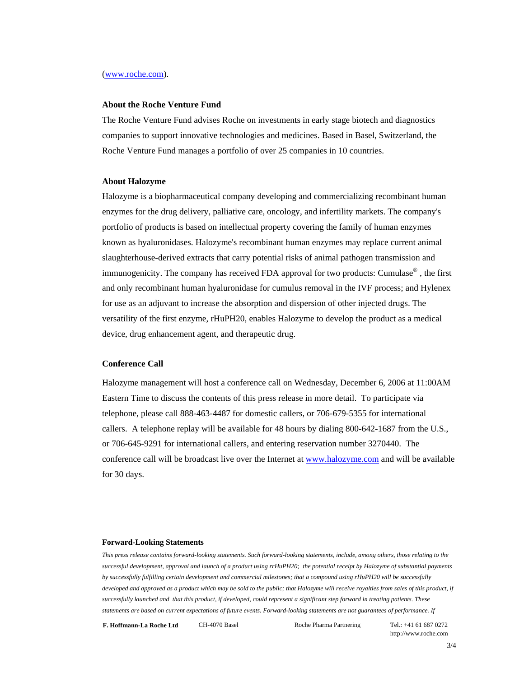## (www.roche.com).

## **About the Roche Venture Fund**

The Roche Venture Fund advises Roche on investments in early stage biotech and diagnostics companies to support innovative technologies and medicines. Based in Basel, Switzerland, the Roche Venture Fund manages a portfolio of over 25 companies in 10 countries.

### **About Halozyme**

Halozyme is a biopharmaceutical company developing and commercializing recombinant human enzymes for the drug delivery, palliative care, oncology, and infertility markets. The company's portfolio of products is based on intellectual property covering the family of human enzymes known as hyaluronidases. Halozyme's recombinant human enzymes may replace current animal slaughterhouse-derived extracts that carry potential risks of animal pathogen transmission and immunogenicity. The company has received FDA approval for two products: Cumulase® , the first and only recombinant human hyaluronidase for cumulus removal in the IVF process; and Hylenex for use as an adjuvant to increase the absorption and dispersion of other injected drugs. The versatility of the first enzyme, rHuPH20, enables Halozyme to develop the product as a medical device, drug enhancement agent, and therapeutic drug.

## **Conference Call**

Halozyme management will host a conference call on Wednesday, December 6, 2006 at 11:00AM Eastern Time to discuss the contents of this press release in more detail. To participate via telephone, please call 888-463-4487 for domestic callers, or 706-679-5355 for international callers. A telephone replay will be available for 48 hours by dialing 800-642-1687 from the U.S., or 706-645-9291 for international callers, and entering reservation number 3270440. The conference call will be broadcast live over the Internet at www.halozyme.com and will be available for 30 days.

#### **Forward-Looking Statements**

*This press release contains forward-looking statements. Such forward-looking statements, include, among others, those relating to the successful development, approval and launch of a product using rrHuPH20; the potential receipt by Halozyme of substantial payments by successfully fulfilling certain development and commercial milestones; that a compound using rHuPH20 will be successfully developed and approved as a product which may be sold to the public; that Halozyme will receive royalties from sales of this product, if successfully launched and that this product, if developed, could represent a significant step forward in treating patients. These statements are based on current expectations of future events. Forward-looking statements are not guarantees of performance. If*

**F. Hoffmann-La Roche Ltd** CH-4070 Basel Roche Pharma Partnering Tel.: +41 61 687 0272

http://www.roche.com